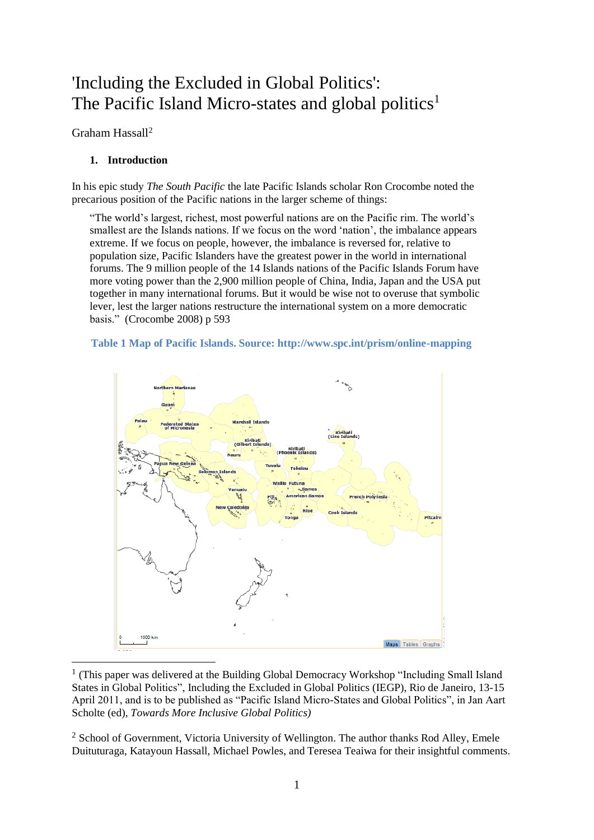# 'Including the Excluded in Global Politics': The Pacific Island Micro-states and global politics<sup>1</sup>

Graham Hassall<sup>2</sup>

# **1. Introduction**

In his epic study *The South Pacific* the late Pacific Islands scholar Ron Crocombe noted the precarious position of the Pacific nations in the larger scheme of things:

"The world's largest, richest, most powerful nations are on the Pacific rim. The world's smallest are the Islands nations. If we focus on the word 'nation', the imbalance appears extreme. If we focus on people, however, the imbalance is reversed for, relative to population size, Pacific Islanders have the greatest power in the world in international forums. The 9 million people of the 14 Islands nations of the Pacific Islands Forum have more voting power than the 2,900 million people of China, India, Japan and the USA put together in many international forums. But it would be wise not to overuse that symbolic lever, lest the larger nations restructure the international system on a more democratic basis." [\(Crocombe 2008\)](#page-16-0) p 593





<sup>1</sup> (This paper was delivered at the Building Global Democracy Workshop "Including Small Island States in Global Politics", Including the Excluded in Global Politics (IEGP), Rio de Janeiro, 13-15 April 2011, and is to be published as "Pacific Island Micro-States and Global Politics", in Jan Aart Scholte (ed), *Towards More Inclusive Global Politics)*

<sup>2</sup> School of Government, Victoria University of Wellington. The author thanks Rod Alley, Emele Duituturaga, Katayoun Hassall, Michael Powles, and Teresea Teaiwa for their insightful comments.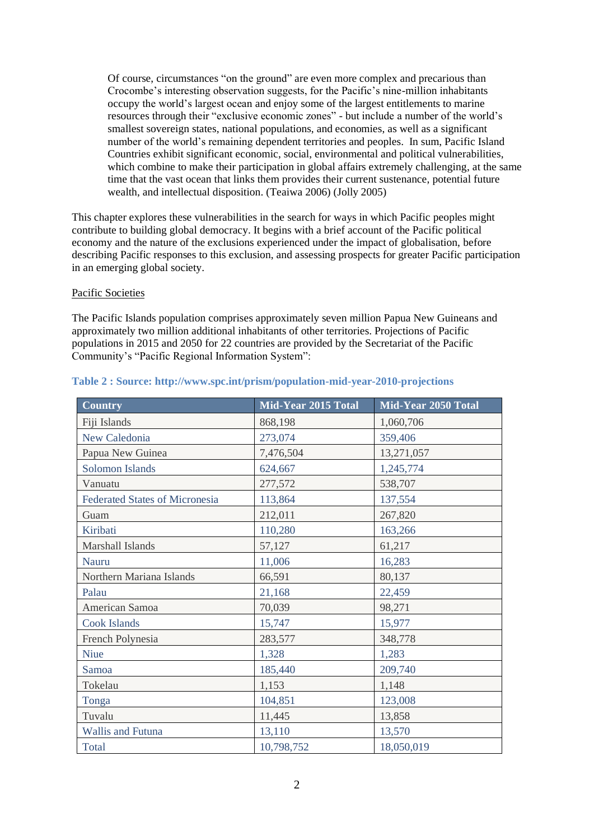Of course, circumstances "on the ground" are even more complex and precarious than Crocombe's interesting observation suggests, for the Pacific's nine-million inhabitants occupy the world's largest ocean and enjoy some of the largest entitlements to marine resources through their "exclusive economic zones" - but include a number of the world's smallest sovereign states, national populations, and economies, as well as a significant number of the world's remaining dependent territories and peoples. In sum, Pacific Island Countries exhibit significant economic, social, environmental and political vulnerabilities, which combine to make their participation in global affairs extremely challenging, at the same time that the vast ocean that links them provides their current sustenance, potential future wealth, and intellectual disposition. [\(Teaiwa 2006\)](#page-17-0) [\(Jolly 2005\)](#page-16-1)

This chapter explores these vulnerabilities in the search for ways in which Pacific peoples might contribute to building global democracy. It begins with a brief account of the Pacific political economy and the nature of the exclusions experienced under the impact of globalisation, before describing Pacific responses to this exclusion, and assessing prospects for greater Pacific participation in an emerging global society.

#### Pacific Societies

The Pacific Islands population comprises approximately seven million Papua New Guineans and approximately two million additional inhabitants of other territories. Projections of Pacific populations in 2015 and 2050 for 22 countries are provided by the Secretariat of the Pacific Community's "Pacific Regional Information System":

| <b>Country</b>                        | Mid-Year $2015$ Total | Mid-Year 2050 Total |
|---------------------------------------|-----------------------|---------------------|
| Fiji Islands                          | 868,198               | 1,060,706           |
| New Caledonia                         | 273,074               | 359,406             |
| Papua New Guinea                      | 7,476,504             | 13,271,057          |
| <b>Solomon Islands</b>                | 624,667               | 1,245,774           |
| Vanuatu                               | 277,572               | 538,707             |
| <b>Federated States of Micronesia</b> | 113,864               | 137,554             |
| Guam                                  | 212,011               | 267,820             |
| Kiribati                              | 110,280               | 163,266             |
| Marshall Islands                      | 57,127                | 61,217              |
| Nauru                                 | 11,006                | 16,283              |
| Northern Mariana Islands              | 66,591                | 80,137              |
| Palau                                 | 21,168                | 22,459              |
| American Samoa                        | 70,039                | 98,271              |
| <b>Cook Islands</b>                   | 15,747                | 15,977              |
| French Polynesia                      | 283,577               | 348,778             |
| <b>Niue</b>                           | 1,328                 | 1,283               |
| Samoa                                 | 185,440               | 209,740             |
| Tokelau                               | 1,153                 | 1,148               |
| Tonga                                 | 104,851               | 123,008             |
| Tuvalu                                | 11,445                | 13,858              |
| <b>Wallis and Futuna</b>              | 13,110                | 13,570              |
| Total                                 | 10,798,752            | 18,050,019          |

#### **Table 2 : Source: http://www.spc.int/prism/population-mid-year-2010-projections**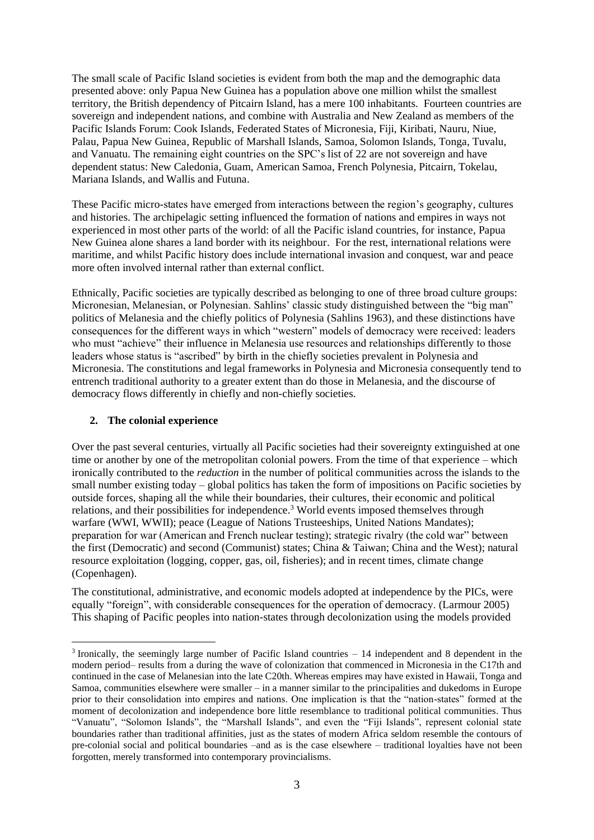The small scale of Pacific Island societies is evident from both the map and the demographic data presented above: only Papua New Guinea has a population above one million whilst the smallest territory, the British dependency of Pitcairn Island, has a mere 100 inhabitants. Fourteen countries are sovereign and independent nations, and combine with Australia and New Zealand as members of the Pacific Islands Forum: [Cook Islands,](http://forum.forumsec.org/pages.cfm/about-us/member-countries/#cook-islands) [Federated States of Micronesia,](http://forum.forumsec.org/pages.cfm/about-us/member-countries/#federated-states-of-micronesia) [Fiji,](http://forum.forumsec.org/pages.cfm/about-us/member-countries/#fiji) [Kiribati,](http://forum.forumsec.org/pages.cfm/about-us/member-countries/#kiribati) [Nauru,](http://forum.forumsec.org/pages.cfm/about-us/member-countries/#nauru) [Niue,](http://forum.forumsec.org/pages.cfm/about-us/member-countries/#niue) [Palau,](http://forum.forumsec.org/pages.cfm/about-us/member-countries/#republic-of-palau) [Papua New Guinea,](http://forum.forumsec.org/pages.cfm/about-us/member-countries/#papua-new-guinea) Republic [of Marshall Islands,](http://forum.forumsec.org/pages.cfm/about-us/member-countries/#republic-of-marshall-islands) [Samoa,](http://forum.forumsec.org/pages.cfm/about-us/member-countries/#samoa) [Solomon Islands,](http://forum.forumsec.org/pages.cfm/about-us/member-countries/#solomon-islands) [Tonga,](http://forum.forumsec.org/pages.cfm/about-us/member-countries/#tonga) [Tuvalu,](http://forum.forumsec.org/pages.cfm/about-us/member-countries/#tuvalu) an[d Vanuatu.](http://forum.forumsec.org/pages.cfm/about-us/member-countries/#vanuatu) The remaining eight countries on the SPC's list of 22 are not sovereign and have dependent status: New Caledonia, Guam, American Samoa, French Polynesia, Pitcairn, Tokelau, Mariana Islands, and Wallis and Futuna.

These Pacific micro-states have emerged from interactions between the region's geography, cultures and histories. The archipelagic setting influenced the formation of nations and empires in ways not experienced in most other parts of the world: of all the Pacific island countries, for instance, Papua New Guinea alone shares a land border with its neighbour. For the rest, international relations were maritime, and whilst Pacific history does include international invasion and conquest, war and peace more often involved internal rather than external conflict.

Ethnically, Pacific societies are typically described as belonging to one of three broad culture groups: Micronesian, Melanesian, or Polynesian. Sahlins' classic study distinguished between the "big man" politics of Melanesia and the chiefly politics of Polynesia [\(Sahlins 1963\)](#page-17-1), and these distinctions have consequences for the different ways in which "western" models of democracy were received: leaders who must "achieve" their influence in Melanesia use resources and relationships differently to those leaders whose status is "ascribed" by birth in the chiefly societies prevalent in Polynesia and Micronesia. The constitutions and legal frameworks in Polynesia and Micronesia consequently tend to entrench traditional authority to a greater extent than do those in Melanesia, and the discourse of democracy flows differently in chiefly and non-chiefly societies.

# **2. The colonial experience**

Over the past several centuries, virtually all Pacific societies had their sovereignty extinguished at one time or another by one of the metropolitan colonial powers. From the time of that experience – which ironically contributed to the *reduction* in the number of political communities across the islands to the small number existing today – global politics has taken the form of impositions on Pacific societies by outside forces, shaping all the while their boundaries, their cultures, their economic and political relations, and their possibilities for independence.<sup>3</sup> World events imposed themselves through warfare (WWI, WWII); peace (League of Nations Trusteeships, United Nations Mandates); preparation for war (American and French nuclear testing); strategic rivalry (the cold war" between the first (Democratic) and second (Communist) states; China & Taiwan; China and the West); natural resource exploitation (logging, copper, gas, oil, fisheries); and in recent times, climate change (Copenhagen).

The constitutional, administrative, and economic models adopted at independence by the PICs, were equally "foreign", with considerable consequences for the operation of democracy. [\(Larmour 2005\)](#page-16-2) This shaping of Pacific peoples into nation-states through decolonization using the models provided

<sup>3</sup> Ironically, the seemingly large number of Pacific Island countries – 14 independent and 8 dependent in the modern period– results from a during the wave of colonization that commenced in Micronesia in the C17th and continued in the case of Melanesian into the late C20th. Whereas empires may have existed in Hawaii, Tonga and Samoa, communities elsewhere were smaller – in a manner similar to the principalities and dukedoms in Europe prior to their consolidation into empires and nations. One implication is that the "nation-states" formed at the moment of decolonization and independence bore little resemblance to traditional political communities. Thus "Vanuatu", "Solomon Islands", the "Marshall Islands", and even the "Fiji Islands", represent colonial state boundaries rather than traditional affinities, just as the states of modern Africa seldom resemble the contours of pre-colonial social and political boundaries –and as is the case elsewhere – traditional loyalties have not been forgotten, merely transformed into contemporary provincialisms.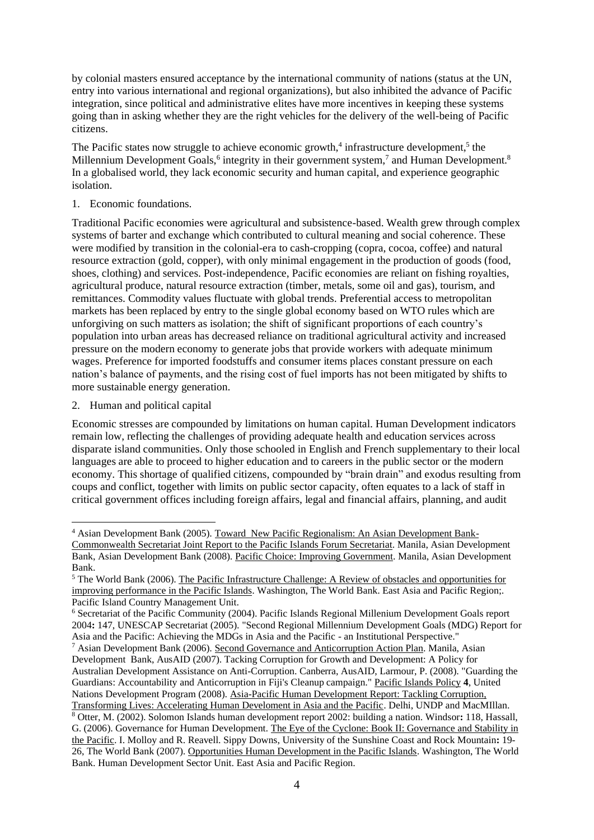by colonial masters ensured acceptance by the international community of nations (status at the UN, entry into various international and regional organizations), but also inhibited the advance of Pacific integration, since political and administrative elites have more incentives in keeping these systems going than in asking whether they are the right vehicles for the delivery of the well-being of Pacific citizens.

The Pacific states now struggle to achieve economic growth,<sup>4</sup> infrastructure development,<sup>5</sup> the Millennium Development Goals,<sup>6</sup> integrity in their government system,<sup>7</sup> and Human Development.<sup>8</sup> In a globalised world, they lack economic security and human capital, and experience geographic isolation.

1. Economic foundations.

Traditional Pacific economies were agricultural and subsistence-based. Wealth grew through complex systems of barter and exchange which contributed to cultural meaning and social coherence. These were modified by transition in the colonial-era to cash-cropping (copra, cocoa, coffee) and natural resource extraction (gold, copper), with only minimal engagement in the production of goods (food, shoes, clothing) and services. Post-independence, Pacific economies are reliant on fishing royalties, agricultural produce, natural resource extraction (timber, metals, some oil and gas), tourism, and remittances. Commodity values fluctuate with global trends. Preferential access to metropolitan markets has been replaced by entry to the single global economy based on WTO rules which are unforgiving on such matters as isolation; the shift of significant proportions of each country's population into urban areas has decreased reliance on traditional agricultural activity and increased pressure on the modern economy to generate jobs that provide workers with adequate minimum wages. Preference for imported foodstuffs and consumer items places constant pressure on each nation's balance of payments, and the rising cost of fuel imports has not been mitigated by shifts to more sustainable energy generation.

2. Human and political capital

Economic stresses are compounded by limitations on human capital. Human Development indicators remain low, reflecting the challenges of providing adequate health and education services across disparate island communities. Only those schooled in English and French supplementary to their local languages are able to proceed to higher education and to careers in the public sector or the modern economy. This shortage of qualified citizens, compounded by "brain drain" and exodus resulting from coups and conflict, together with limits on public sector capacity, often equates to a lack of staff in critical government offices including foreign affairs, legal and financial affairs, planning, and audit

<sup>7</sup> Asian Development Bank (2006). Second Governance and Anticorruption Action Plan. Manila, Asian Development Bank, AusAID (2007). Tacking Corruption for Growth and Development: A Policy for Australian Development Assistance on Anti-Corruption. Canberra, AusAID, Larmour, P. (2008). "Guarding the Guardians: Accountability and Anticorruption in Fiji's Cleanup campaign." Pacific Islands Policy **4**, United Nations Development Program (2008). Asia-Pacific Human Development Report: Tackling Corruption, Transforming Lives: Accelerating Human Develoment in Asia and the Pacific. Delhi, UNDP and MacMIllan.

<sup>4</sup> Asian Development Bank (2005). Toward New Pacific Regionalism: An Asian Development Bank-Commonwealth Secretariat Joint Report to the Pacific Islands Forum Secretariat. Manila, Asian Development Bank, Asian Development Bank (2008). Pacific Choice: Improving Government. Manila, Asian Development Bank.

<sup>5</sup> The World Bank (2006). The Pacific Infrastructure Challenge: A Review of obstacles and opportunities for improving performance in the Pacific Islands. Washington, The World Bank. East Asia and Pacific Region;. Pacific Island Country Management Unit.

<sup>6</sup> Secretariat of the Pacific Community (2004). Pacific Islands Regional Millenium Development Goals report 2004**:** 147, UNESCAP Secretariat (2005). "Second Regional Millennium Development Goals (MDG) Report for Asia and the Pacific: Achieving the MDGs in Asia and the Pacific - an Institutional Perspective."

<sup>8</sup> Otter, M. (2002). Solomon Islands human development report 2002: building a nation. Windsor**:** 118, Hassall, G. (2006). Governance for Human Development. The Eye of the Cyclone: Book II: Governance and Stability in the Pacific. I. Molloy and R. Reavell. Sippy Downs, University of the Sunshine Coast and Rock Mountain**:** 19- 26, The World Bank (2007). Opportunities Human Development in the Pacific Islands. Washington, The World Bank. Human Development Sector Unit. East Asia and Pacific Region.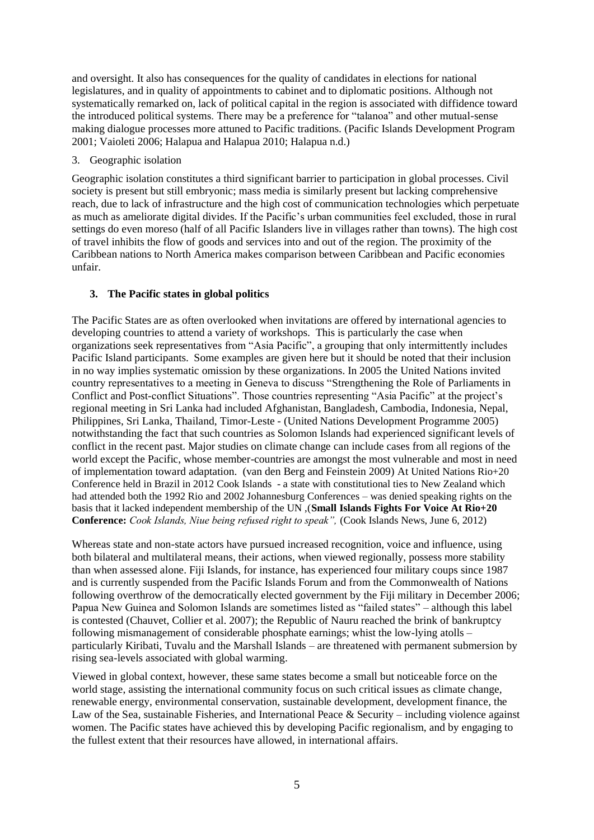and oversight. It also has consequences for the quality of candidates in elections for national legislatures, and in quality of appointments to cabinet and to diplomatic positions. Although not systematically remarked on, lack of political capital in the region is associated with diffidence toward the introduced political systems. There may be a preference for "talanoa" and other mutual-sense making dialogue processes more attuned to Pacific traditions. [\(Pacific Islands Development Program](#page-16-3)  [2001;](#page-16-3) [Vaioleti 2006;](#page-17-2) [Halapua and Halapua 2010;](#page-16-4) [Halapua n.d.\)](#page-16-5)

### 3. Geographic isolation

Geographic isolation constitutes a third significant barrier to participation in global processes. Civil society is present but still embryonic; mass media is similarly present but lacking comprehensive reach, due to lack of infrastructure and the high cost of communication technologies which perpetuate as much as ameliorate digital divides. If the Pacific's urban communities feel excluded, those in rural settings do even moreso (half of all Pacific Islanders live in villages rather than towns). The high cost of travel inhibits the flow of goods and services into and out of the region. The proximity of the Caribbean nations to North America makes comparison between Caribbean and Pacific economies unfair.

# **3. The Pacific states in global politics**

The Pacific States are as often overlooked when invitations are offered by international agencies to developing countries to attend a variety of workshops. This is particularly the case when organizations seek representatives from "Asia Pacific", a grouping that only intermittently includes Pacific Island participants. Some examples are given here but it should be noted that their inclusion in no way implies systematic omission by these organizations. In 2005 the United Nations invited country representatives to a meeting in Geneva to discuss "Strengthening the Role of Parliaments in Conflict and Post-conflict Situations". Those countries representing "Asia Pacific" at the project's regional meeting in Sri Lanka had included Afghanistan, Bangladesh, Cambodia, Indonesia, Nepal, Philippines, Sri Lanka, Thailand, Timor-Leste - [\(United Nations Development Programme 2005\)](#page-17-3) notwithstanding the fact that such countries as Solomon Islands had experienced significant levels of conflict in the recent past. Major studies on climate change can include cases from all regions of the world except the Pacific, whose member-countries are amongst the most vulnerable and most in need of implementation toward adaptation. [\(van den Berg and Feinstein 2009\)](#page-17-4) At United Nations Rio+20 Conference held in Brazil in 2012 Cook Islands - a state with constitutional ties to New Zealand which had attended both the 1992 Rio and 2002 Johannesburg Conferences – was denied speaking rights on the basis that it lacked independent membership of the UN ,(**Small Islands Fights For Voice At Rio+20 Conference:** *Cook Islands, Niue being refused right to speak",* (Cook Islands News, June 6, 2012)

Whereas state and non-state actors have pursued increased recognition, voice and influence, using both bilateral and multilateral means, their actions, when viewed regionally, possess more stability than when assessed alone. Fiji Islands, for instance, has experienced four military coups since 1987 and is currently suspended from the Pacific Islands Forum and from the Commonwealth of Nations following overthrow of the democratically elected government by the Fiji military in December 2006; Papua New Guinea and Solomon Islands are sometimes listed as "failed states" – although this label is contested [\(Chauvet, Collier et al. 2007\)](#page-16-6); the Republic of Nauru reached the brink of bankruptcy following mismanagement of considerable phosphate earnings; whist the low-lying atolls – particularly Kiribati, Tuvalu and the Marshall Islands – are threatened with permanent submersion by rising sea-levels associated with global warming.

Viewed in global context, however, these same states become a small but noticeable force on the world stage, assisting the international community focus on such critical issues as climate change, renewable energy, environmental conservation, sustainable development, development finance, the Law of the Sea, sustainable Fisheries, and International Peace & Security – including violence against women. The Pacific states have achieved this by developing Pacific regionalism, and by engaging to the fullest extent that their resources have allowed, in international affairs.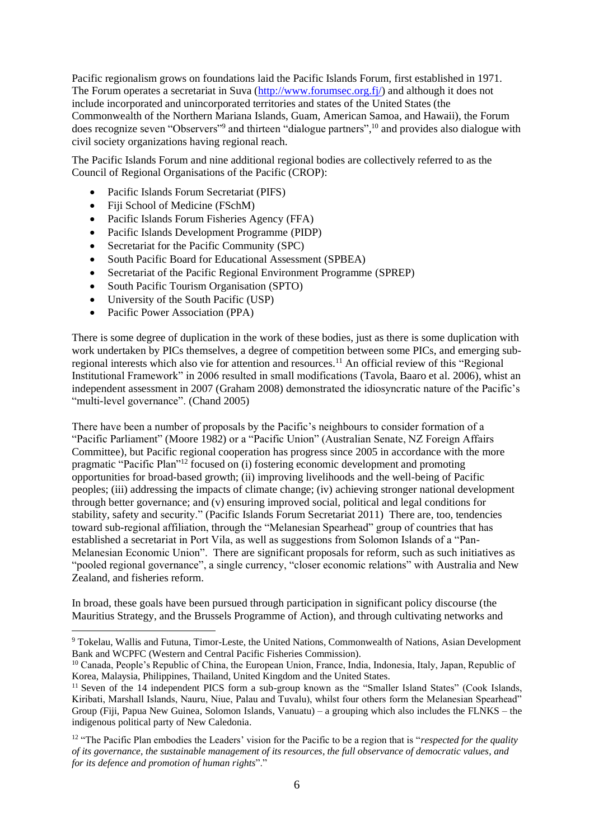Pacific regionalism grows on foundations laid the Pacific Islands Forum, first established in 1971. The Forum operates a secretariat in Suva [\(http://www.forumsec.org.fj/\)](http://www.forumsec.org.fj/) and although it does not include incorporated and unincorporated territories and states of the United States (the Commonwealth of the Northern Mariana Islands, Guam, American Samoa, and Hawaii), the Forum does recognize seven "Observers"<sup>9</sup> and thirteen "dialogue partners",<sup>10</sup> and provides also dialogue with civil society organizations having regional reach.

The Pacific Islands Forum and nine additional regional bodies are collectively referred to as the Council of Regional Organisations of the Pacific (CROP):

- Pacific Islands Forum Secretariat (PIFS)
- [Fiji School of Medicine \(](http://www.fsm.ac.fj/)FSchM)
- [Pacific Islands Forum Fisheries Agency \(](http://www.ffa.int/)FFA)
- [Pacific Islands Development Programme \(](http://www.eastwestcenter.org/pidp-ab.asp)PIDP)
- [Secretariat for the Pacific Community \(](http://www.spc.int/)SPC)
- [South Pacific Board for Educational Assessment](http://www.spbea.org.fj/) (SPBEA)
- [Secretariat of the Pacific Regional Environment Programme \(](http://www.sprep.org/)SPREP)
- [South Pacific Tourism Organisation \(](http://www.spto.org/)SPTO)
- [University of the South Pacific \(](http://www.usp.ac.fj/)USP)
- [Pacific Power Association \(](http://www.ppa.org.fj/)PPA)

There is some degree of duplication in the work of these bodies, just as there is some duplication with work undertaken by PICs themselves, a degree of competition between some PICs, and emerging subregional interests which also vie for attention and resources.<sup>11</sup> An official review of this "Regional Institutional Framework" in 2006 resulted in small modifications [\(Tavola, Baaro et al. 2006\)](#page-17-5), whist an independent assessment in 2007 [\(Graham 2008\)](#page-16-7) demonstrated the idiosyncratic nature of the Pacific's "multi-level governance". [\(Chand 2005\)](#page-16-8)

There have been a number of proposals by the Pacific's neighbours to consider formation of a "Pacific Parliament" [\(Moore 1982\)](#page-16-9) or a "Pacific Union" (Australian Senate, NZ Foreign Affairs Committee), but Pacific regional cooperation has progress since 2005 in accordance with the more pragmatic "Pacific Plan"<sup>12</sup> focused on (i) fostering economic development and promoting opportunities for broad-based growth; (ii) improving livelihoods and the well-being of Pacific peoples; (iii) addressing the impacts of climate change; (iv) achieving stronger national development through better governance; and (v) ensuring improved social, political and legal conditions for stability, safety and security." [\(Pacific Islands Forum Secretariat 2011\)](#page-17-6) There are, too, tendencies toward sub-regional affiliation, through the "Melanesian Spearhead" group of countries that has established a secretariat in Port Vila, as well as suggestions from Solomon Islands of a "Pan-Melanesian Economic Union". There are significant proposals for reform, such as such initiatives as "pooled regional governance", a single currency, "closer economic relations" with Australia and New Zealand, and fisheries reform.

In broad, these goals have been pursued through participation in significant policy discourse (the Mauritius Strategy, and the Brussels Programme of Action), and through cultivating networks and

<sup>9</sup> Tokelau, Wallis and Futuna, Timor-Leste, the United Nations, Commonwealth of Nations, Asian Development Bank and WCPFC (Western and Central Pacific Fisheries Commission).

<sup>10</sup> Canada, People's Republic of China, the European Union, France, India, Indonesia, Italy, Japan, Republic of Korea, Malaysia, Philippines, Thailand, United Kingdom and the United States.

<sup>&</sup>lt;sup>11</sup> Seven of the 14 independent PICS form a sub-group known as the "Smaller Island States" (Cook Islands, Kiribati, Marshall Islands, Nauru, Niue, Palau and Tuvalu), whilst four others form the Melanesian Spearhead" Group [\(Fiji,](http://en.wikipedia.org/wiki/Fiji) [Papua New Guinea,](http://en.wikipedia.org/wiki/Papua_New_Guinea) [Solomon Islands,](http://en.wikipedia.org/wiki/Solomon_Islands) [Vanuatu\)](http://en.wikipedia.org/wiki/Vanuatu) – a grouping which also includes the [FLNKS](http://en.wikipedia.org/wiki/FLNKS) – the indigenous political party o[f New Caledonia.](http://en.wikipedia.org/wiki/New_Caledonia)

<sup>&</sup>lt;sup>12</sup> "The Pacific Plan embodies the Leaders' vision for the Pacific to be a region that is "*respected for the quality of its governance, the sustainable management of its resources, the full observance of democratic values, and for its defence and promotion of human rights*"."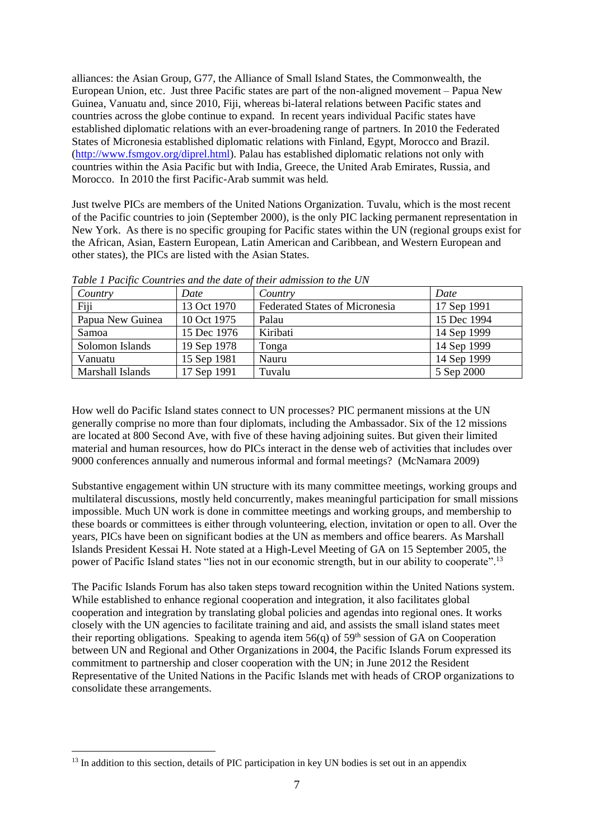alliances: the Asian Group, G77, the Alliance of Small Island States, the Commonwealth, the European Union, etc. Just three Pacific states are part of the non-aligned movement – Papua New Guinea, Vanuatu and, since 2010, Fiji, whereas bi-lateral relations between Pacific states and countries across the globe continue to expand. In recent years individual Pacific states have established diplomatic relations with an ever-broadening range of partners. In 2010 the Federated States of Micronesia established diplomatic relations with Finland, Egypt, Morocco and Brazil. [\(http://www.fsmgov.org/diprel.html\)](http://www.fsmgov.org/diprel.html). Palau has established diplomatic relations not only with countries within the Asia Pacific but with India, Greece, the United Arab Emirates, Russia, and Morocco. In 2010 the first Pacific-Arab summit was held.

Just twelve PICs are members of the United Nations Organization. Tuvalu, which is the most recent of the Pacific countries to join (September 2000), is the only PIC lacking permanent representation in New York. As there is no specific grouping for Pacific states within the UN (regional groups exist for the African, Asian, Eastern European, Latin American and Caribbean, and Western European and other states), the PICs are listed with the Asian States.

| Country          | Date        | Country                               | Date        |
|------------------|-------------|---------------------------------------|-------------|
| Fiji             | 13 Oct 1970 | <b>Federated States of Micronesia</b> | 17 Sep 1991 |
| Papua New Guinea | 10 Oct 1975 | Palau                                 | 15 Dec 1994 |
| Samoa            | 15 Dec 1976 | Kiribati                              | 14 Sep 1999 |
| Solomon Islands  | 19 Sep 1978 | Tonga                                 | 14 Sep 1999 |
| Vanuatu          | 15 Sep 1981 | Nauru                                 | 14 Sep 1999 |
| Marshall Islands | 17 Sep 1991 | Tuvalu                                | 5 Sep 2000  |

*Table 1 Pacific Countries and the date of their admission to the UN* 

How well do Pacific Island states connect to UN processes? PIC permanent missions at the UN generally comprise no more than four diplomats, including the Ambassador. Six of the 12 missions are located at 800 Second Ave, with five of these having adjoining suites. But given their limited material and human resources, how do PICs interact in the dense web of activities that includes over 9000 conferences annually and numerous informal and formal meetings? [\(McNamara 2009\)](#page-16-10)

Substantive engagement within UN structure with its many committee meetings, working groups and multilateral discussions, mostly held concurrently, makes meaningful participation for small missions impossible. Much UN work is done in committee meetings and working groups, and membership to these boards or committees is either through volunteering, election, invitation or open to all. Over the years, PICs have been on significant bodies at the UN as members and office bearers. As Marshall Islands President Kessai H. Note stated at a High-Level Meeting of GA on 15 September 2005, the power of Pacific Island states "lies not in our economic strength, but in our ability to cooperate".<sup>13</sup>

The Pacific Islands Forum has also taken steps toward recognition within the United Nations system. While established to enhance regional cooperation and integration, it also facilitates global cooperation and integration by translating global policies and agendas into regional ones. It works closely with the UN agencies to facilitate training and aid, and assists the small island states meet their reporting obligations. Speaking to agenda item  $56(q)$  of  $59<sup>th</sup>$  session of GA on Cooperation between UN and Regional and Other Organizations in 2004, the Pacific Islands Forum expressed its commitment to partnership and closer cooperation with the UN; in June 2012 the Resident Representative of the United Nations in the Pacific Islands met with heads of CROP organizations to consolidate these arrangements.

<sup>&</sup>lt;sup>13</sup> In addition to this section, details of PIC participation in key UN bodies is set out in an appendix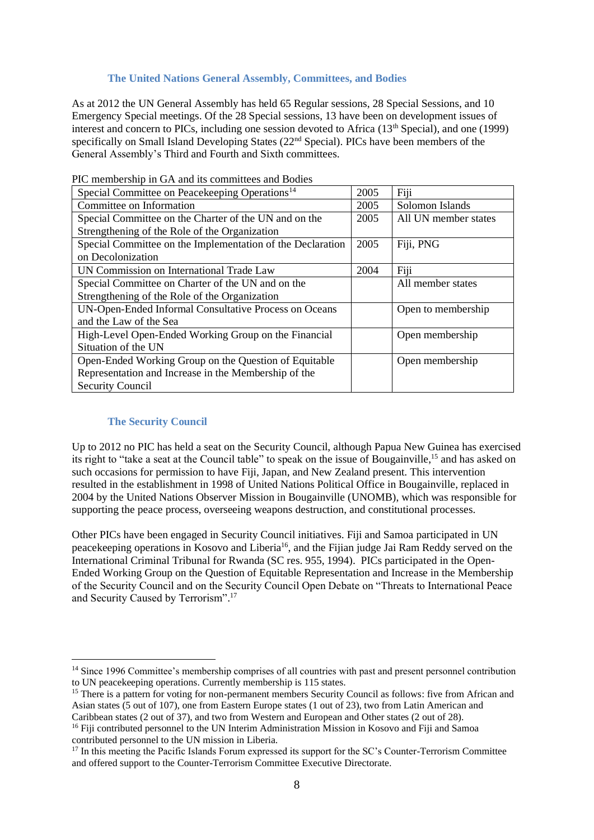# **The United Nations General Assembly, Committees, and Bodies**

As at 2012 the UN General Assembly has held 65 Regular sessions, 28 Special Sessions, and 10 Emergency Special meetings. Of the 28 Special sessions, 13 have been on development issues of interest and concern to PICs, including one session devoted to Africa (13th Special), and one (1999) specifically on Small Island Developing States (22<sup>nd</sup> Special). PICs have been members of the General Assembly's Third and Fourth and Sixth committees.

| Special Committee on Peacekeeping Operations <sup>14</sup> |  | Fiji                 |
|------------------------------------------------------------|--|----------------------|
| Committee on Information                                   |  | Solomon Islands      |
| Special Committee on the Charter of the UN and on the      |  | All UN member states |
| Strengthening of the Role of the Organization              |  |                      |
| Special Committee on the Implementation of the Declaration |  | Fiji, PNG            |
| on Decolonization                                          |  |                      |
| UN Commission on International Trade Law                   |  | Fiji                 |
| Special Committee on Charter of the UN and on the          |  | All member states    |
| Strengthening of the Role of the Organization              |  |                      |
| UN-Open-Ended Informal Consultative Process on Oceans      |  | Open to membership   |
| and the Law of the Sea                                     |  |                      |
| High-Level Open-Ended Working Group on the Financial       |  | Open membership      |
| Situation of the UN                                        |  |                      |
| Open-Ended Working Group on the Question of Equitable      |  | Open membership      |
| Representation and Increase in the Membership of the       |  |                      |
| <b>Security Council</b>                                    |  |                      |

PIC membership in GA and its committees and Bodies

#### **The Security Council**

Up to 2012 no PIC has held a seat on the Security Council, although Papua New Guinea has exercised its right to "take a seat at the Council table" to speak on the issue of Bougainville,<sup>15</sup> and has asked on such occasions for permission to have Fiji, Japan, and New Zealand present. This intervention resulted in the establishment in 1998 of United Nations Political Office in Bougainville, replaced in 2004 by the United Nations Observer Mission in Bougainville (UNOMB), which was responsible for supporting the peace process, overseeing weapons destruction, and constitutional processes.

Other PICs have been engaged in Security Council initiatives. Fiji and Samoa participated in UN peacekeeping operations in Kosovo and Liberia<sup>16</sup>, and the Fijian judge Jai Ram Reddy served on the International Criminal Tribunal for Rwanda (SC res. 955, 1994). PICs participated in the Open-Ended Working Group on the Question of Equitable Representation and Increase in the Membership of the Security Council and on the Security Council Open Debate on "Threats to International Peace and Security Caused by Terrorism". 17

Caribbean states (2 out of 37), and two from Western and European and Other states (2 out of 28).

<sup>&</sup>lt;sup>14</sup> Since 1996 Committee's membership comprises of all countries with past and present personnel contribution to UN peacekeeping operations. Currently membership is 115 states.

<sup>&</sup>lt;sup>15</sup> There is a pattern for voting for non-permanent members Security Council as follows: five from African and Asian states (5 out of 107), one from Eastern Europe states (1 out of 23), two from Latin American and

<sup>&</sup>lt;sup>16</sup> Fiji contributed personnel to the UN Interim Administration Mission in Kosovo and Fiji and Samoa contributed personnel to the UN mission in Liberia.

<sup>&</sup>lt;sup>17</sup> In this meeting the Pacific Islands Forum expressed its support for the SC's Counter-Terrorism Committee and offered support to the Counter-Terrorism Committee Executive Directorate.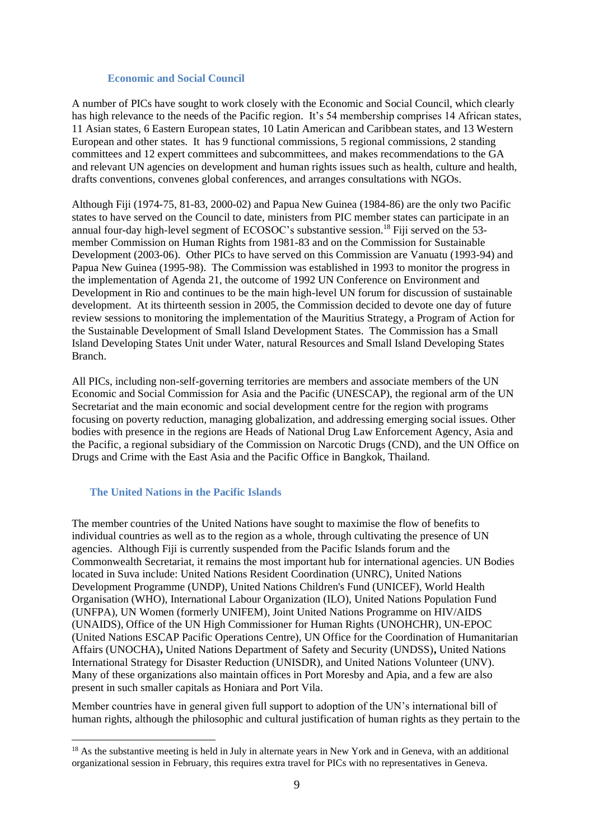#### **Economic and Social Council**

A number of PICs have sought to work closely with the Economic and Social Council, which clearly has high relevance to the needs of the Pacific region. It's 54 membership comprises 14 African states, 11 Asian states, 6 Eastern European states, 10 Latin American and Caribbean states, and 13 Western European and other states. It has 9 functional commissions, 5 regional commissions, 2 standing committees and 12 expert committees and subcommittees, and makes recommendations to the GA and relevant UN agencies on development and human rights issues such as health, culture and health, drafts conventions, convenes global conferences, and arranges consultations with NGOs.

Although Fiji (1974-75, 81-83, 2000-02) and Papua New Guinea (1984-86) are the only two Pacific states to have served on the Council to date, ministers from PIC member states can participate in an annual four-day high-level segment of ECOSOC's substantive session.<sup>18</sup> Fiji served on the 53member Commission on Human Rights from 1981-83 and on the Commission for Sustainable Development (2003-06). Other PICs to have served on this Commission are Vanuatu (1993-94) and Papua New Guinea (1995-98). The Commission was established in 1993 to monitor the progress in the implementation of Agenda 21, the outcome of 1992 UN Conference on Environment and Development in Rio and continues to be the main high-level UN forum for discussion of sustainable development. At its thirteenth session in 2005, the Commission decided to devote one day of future review sessions to monitoring the implementation of the Mauritius Strategy, a Program of Action for the Sustainable Development of Small Island Development States. The Commission has a Small Island Developing States Unit under Water, natural Resources and Small Island Developing States Branch.

All PICs, including non-self-governing territories are members and associate members of the UN Economic and Social Commission for Asia and the Pacific (UNESCAP), the regional arm of the UN Secretariat and the main economic and social development centre for the region with programs focusing on poverty reduction, managing globalization, and addressing emerging social issues. Other bodies with presence in the regions are Heads of National Drug Law Enforcement Agency, Asia and the Pacific, a regional subsidiary of the Commission on Narcotic Drugs (CND), and the UN Office on Drugs and Crime with the East Asia and the Pacific Office in Bangkok, Thailand.

#### **The United Nations in the Pacific Islands**

The member countries of the United Nations have sought to maximise the flow of benefits to individual countries as well as to the region as a whole, through cultivating the presence of UN agencies. Although Fiji is currently suspended from the Pacific Islands forum and the Commonwealth Secretariat, it remains the most important hub for international agencies. UN Bodies located in Suva include: United Nations Resident Coordination (UNRC), United Nations Development Programme (UNDP), United Nations Children's Fund (UNICEF), World Health Organisation (WHO), International Labour Organization (ILO), United Nations Population Fund (UNFPA), UN Women (formerly UNIFEM), Joint United Nations Programme on HIV/AIDS (UNAIDS), Office of the UN High Commissioner for Human Rights (UNOHCHR), UN-EPOC (United Nations ESCAP Pacific Operations Centre), UN Office for the Coordination of Humanitarian Affairs (UNOCHA)**,** United Nations Department of Safety and Security (UNDSS)**,** United Nations International Strategy for Disaster Reduction (UNISDR), and United Nations Volunteer (UNV). Many of these organizations also maintain offices in Port Moresby and Apia, and a few are also present in such smaller capitals as Honiara and Port Vila.

Member countries have in general given full support to adoption of the UN's international bill of human rights, although the philosophic and cultural justification of human rights as they pertain to the

<sup>&</sup>lt;sup>18</sup> As the substantive meeting is held in July in alternate years in New York and in Geneva, with an additional organizational session in February, this requires extra travel for PICs with no representatives in Geneva.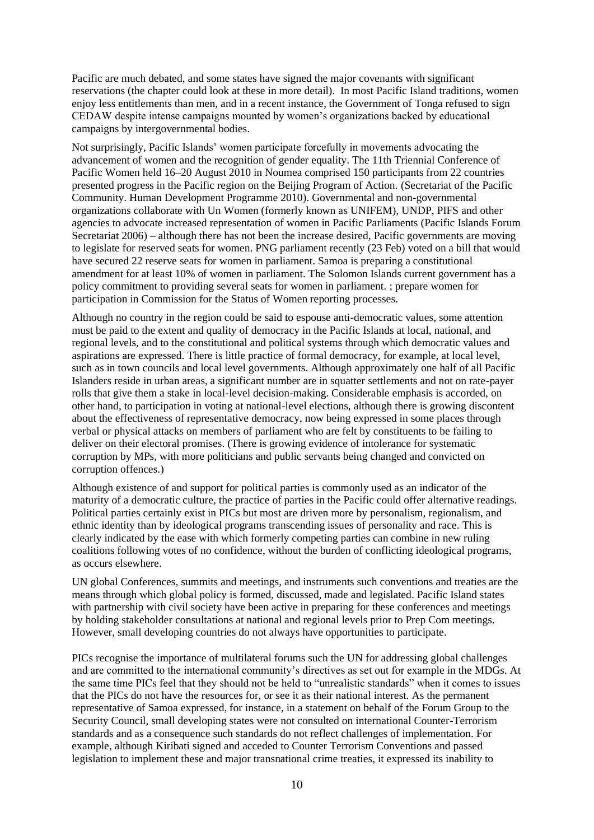Pacific are much debated, and some states have signed the major covenants with significant reservations (the chapter could look at these in more detail). In most Pacific Island traditions, women enjoy less entitlements than men, and in a recent instance, the Government of Tonga refused to sign CEDAW despite intense campaigns mounted by women's organizations backed by educational campaigns by intergovernmental bodies.

Not surprisingly, Pacific Islands' women participate forcefully in movements advocating the advancement of women and the recognition of gender equality. The 11th Triennial Conference of Pacific Women held 16–20 August 2010 in Noumea comprised 150 participants from 22 countries presented progress in the Pacific region on the Beijing Program of Action. [\(Secretariat of the Pacific](#page-17-7)  [Community. Human Development Programme 2010\)](#page-17-7). Governmental and non-governmental organizations collaborate with Un Women (formerly known as UNIFEM), UNDP, PIFS and other agencies to advocate increased representation of women in Pacific Parliaments [\(Pacific Islands Forum](#page-17-8)  [Secretariat 2006\)](#page-17-8) – although there has not been the increase desired, Pacific governments are moving to legislate for reserved seats for women. PNG parliament recently (23 Feb) voted on a bill that would have secured 22 reserve seats for women in parliament. Samoa is preparing a constitutional amendment for at least 10% of women in parliament. The Solomon Islands current government has a policy commitment to providing several seats for women in parliament. ; prepare women for participation in Commission for the Status of Women reporting processes.

Although no country in the region could be said to espouse anti-democratic values, some attention must be paid to the extent and quality of democracy in the Pacific Islands at local, national, and regional levels, and to the constitutional and political systems through which democratic values and aspirations are expressed. There is little practice of formal democracy, for example, at local level, such as in town councils and local level governments. Although approximately one half of all Pacific Islanders reside in urban areas, a significant number are in squatter settlements and not on rate-payer rolls that give them a stake in local-level decision-making. Considerable emphasis is accorded, on other hand, to participation in voting at national-level elections, although there is growing discontent about the effectiveness of representative democracy, now being expressed in some places through verbal or physical attacks on members of parliament who are felt by constituents to be failing to deliver on their electoral promises. (There is growing evidence of intolerance for systematic corruption by MPs, with more politicians and public servants being changed and convicted on corruption offences.)

Although existence of and support for political parties is commonly used as an indicator of the maturity of a democratic culture, the practice of parties in the Pacific could offer alternative readings. Political parties certainly exist in PICs but most are driven more by personalism, regionalism, and ethnic identity than by ideological programs transcending issues of personality and race. This is clearly indicated by the ease with which formerly competing parties can combine in new ruling coalitions following votes of no confidence, without the burden of conflicting ideological programs, as occurs elsewhere.

UN global Conferences, summits and meetings, and instruments such conventions and treaties are the means through which global policy is formed, discussed, made and legislated. Pacific Island states with partnership with civil society have been active in preparing for these conferences and meetings by holding stakeholder consultations at national and regional levels prior to Prep Com meetings. However, small developing countries do not always have opportunities to participate.

PICs recognise the importance of multilateral forums such the UN for addressing global challenges and are committed to the international community's directives as set out for example in the MDGs. At the same time PICs feel that they should not be held to "unrealistic standards" when it comes to issues that the PICs do not have the resources for, or see it as their national interest. As the permanent representative of Samoa expressed, for instance, in a statement on behalf of the Forum Group to the Security Council, small developing states were not consulted on international Counter-Terrorism standards and as a consequence such standards do not reflect challenges of implementation. For example, although Kiribati signed and acceded to Counter Terrorism Conventions and passed legislation to implement these and major transnational crime treaties, it expressed its inability to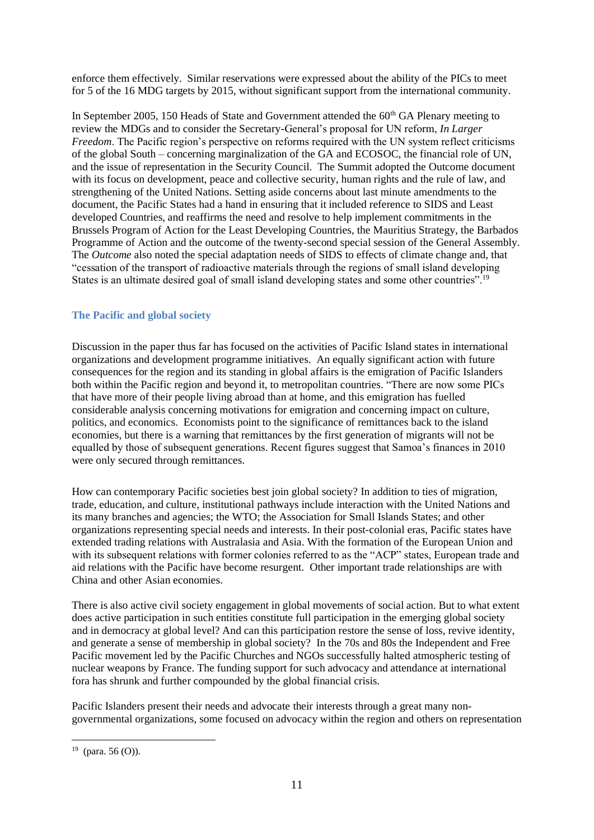enforce them effectively. Similar reservations were expressed about the ability of the PICs to meet for 5 of the 16 MDG targets by 2015, without significant support from the international community.

In September 2005, 150 Heads of State and Government attended the  $60<sup>th</sup>$  GA Plenary meeting to review the MDGs and to consider the Secretary-General's proposal for UN reform, *In Larger Freedom*. The Pacific region's perspective on reforms required with the UN system reflect criticisms of the global South – concerning marginalization of the GA and ECOSOC, the financial role of UN, and the issue of representation in the Security Council. The Summit adopted the Outcome document with its focus on development, peace and collective security, human rights and the rule of law, and strengthening of the United Nations. Setting aside concerns about last minute amendments to the document, the Pacific States had a hand in ensuring that it included reference to SIDS and Least developed Countries, and reaffirms the need and resolve to help implement commitments in the Brussels Program of Action for the Least Developing Countries, the Mauritius Strategy, the Barbados Programme of Action and the outcome of the twenty-second special session of the General Assembly. The *Outcome* also noted the special adaptation needs of SIDS to effects of climate change and, that "cessation of the transport of radioactive materials through the regions of small island developing States is an ultimate desired goal of small island developing states and some other countries".<sup>19</sup>

# **The Pacific and global society**

Discussion in the paper thus far has focused on the activities of Pacific Island states in international organizations and development programme initiatives. An equally significant action with future consequences for the region and its standing in global affairs is the emigration of Pacific Islanders both within the Pacific region and beyond it, to metropolitan countries. "There are now some PICs that have more of their people living abroad than at home, and this emigration has fuelled considerable analysis concerning motivations for emigration and concerning impact on culture, politics, and economics. Economists point to the significance of remittances back to the island economies, but there is a warning that remittances by the first generation of migrants will not be equalled by those of subsequent generations. Recent figures suggest that Samoa's finances in 2010 were only secured through remittances.

How can contemporary Pacific societies best join global society? In addition to ties of migration, trade, education, and culture, institutional pathways include interaction with the United Nations and its many branches and agencies; the WTO; the Association for Small Islands States; and other organizations representing special needs and interests. In their post-colonial eras, Pacific states have extended trading relations with Australasia and Asia. With the formation of the European Union and with its subsequent relations with former colonies referred to as the "ACP" states, European trade and aid relations with the Pacific have become resurgent. Other important trade relationships are with China and other Asian economies.

There is also active civil society engagement in global movements of social action. But to what extent does active participation in such entities constitute full participation in the emerging global society and in democracy at global level? And can this participation restore the sense of loss, revive identity, and generate a sense of membership in global society? In the 70s and 80s the Independent and Free Pacific movement led by the Pacific Churches and NGOs successfully halted atmospheric testing of nuclear weapons by France. The funding support for such advocacy and attendance at international fora has shrunk and further compounded by the global financial crisis.

Pacific Islanders present their needs and advocate their interests through a great many nongovernmental organizations, some focused on advocacy within the region and others on representation

 $19$  (para. 56 (O)).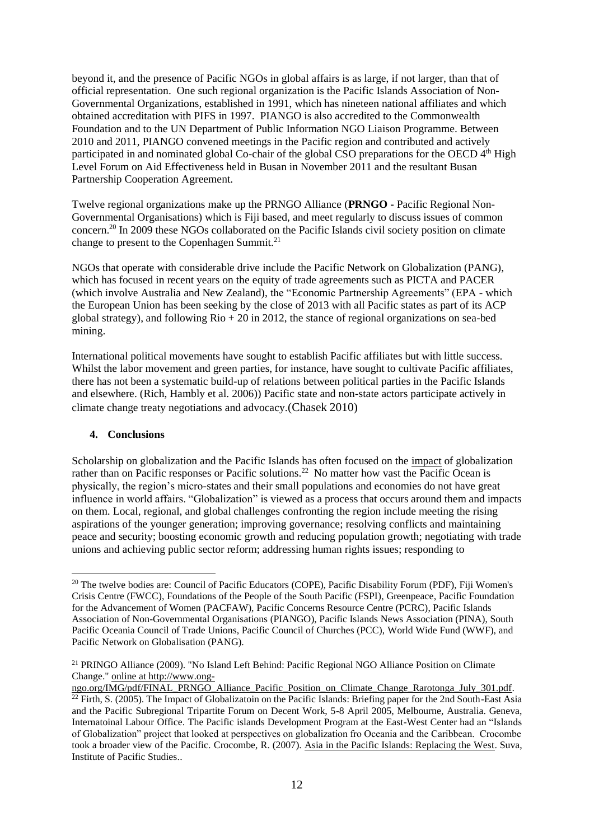beyond it, and the presence of Pacific NGOs in global affairs is as large, if not larger, than that of official representation. One such regional organization is the Pacific Islands Association of Non-Governmental Organizations, established in 1991, which has nineteen national affiliates and which obtained accreditation with PIFS in 1997. PIANGO is also accredited to the Commonwealth Foundation and to the UN Department of Public Information NGO Liaison Programme. Between 2010 and 2011, PIANGO convened meetings in the Pacific region and contributed and actively participated in and nominated global Co-chair of the global CSO preparations for the OECD 4<sup>th</sup> High Level Forum on Aid Effectiveness held in Busan in November 2011 and the resultant Busan Partnership Cooperation Agreement.

Twelve regional organizations make up the PRNGO Alliance (**PRNGO -** Pacific Regional Non-Governmental Organisations) which is Fiji based, and meet regularly to discuss issues of common concern.<sup>20</sup> In 2009 these NGOs collaborated on the Pacific Islands civil society position on climate change to present to the Copenhagen Summit.<sup>21</sup>

NGOs that operate with considerable drive include the Pacific Network on Globalization (PANG), which has focused in recent years on the equity of trade agreements such as PICTA and PACER (which involve Australia and New Zealand), the "Economic Partnership Agreements" (EPA - which the European Union has been seeking by the close of 2013 with all Pacific states as part of its ACP global strategy), and following  $\text{Rio} + 20$  in 2012, the stance of regional organizations on sea-bed mining.

International political movements have sought to establish Pacific affiliates but with little success. Whilst the labor movement and green parties, for instance, have sought to cultivate Pacific affiliates, there has not been a systematic build-up of relations between political parties in the Pacific Islands and elsewhere. [\(Rich, Hambly et al. 2006\)](#page-17-9)) Pacific state and non-state actors participate actively in climate change treaty negotiations and advocacy.[\(Chasek 2010\)](#page-16-11)

# **4. Conclusions**

Scholarship on globalization and the Pacific Islands has often focused on the impact of globalization rather than on Pacific responses or Pacific solutions.<sup>22</sup> No matter how vast the Pacific Ocean is physically, the region's micro-states and their small populations and economies do not have great influence in world affairs. "Globalization" is viewed as a process that occurs around them and impacts on them. Local, regional, and global challenges confronting the region include meeting the rising aspirations of the younger generation; improving governance; resolving conflicts and maintaining peace and security; boosting economic growth and reducing population growth; negotiating with trade unions and achieving public sector reform; addressing human rights issues; responding to

<sup>&</sup>lt;sup>20</sup> The twelve bodies are: Council of Pacific Educators (COPE), Pacific Disability Forum (PDF), Fiji Women's [Crisis Centre \(FWCC\),](http://www.fijiwomen.com/) [Foundations of the People of the South Pacific \(FSPI\),](http://www.fspi.org.fj/) [Greenpeace,](http://www.greenpeace.org/australia/) Pacific Foundation for the Advancement of Women (PACFAW), [Pacific Concerns Resource Centre \(PCRC\),](http://www.pcrc.org.fj/) [Pacific Islands](http://www.piango.org/)  [Association of Non-Governmental Organisations \(PIANGO\)](http://www.piango.org/), [Pacific Islands News Association \(PINA\),](http://www.pinanius.com/) South Pacific Oceania Council of Trade Unions, Pacific Council of Churches (PCC), [World Wide Fund \(WWF\),](http://www.wwfpacific.org.fj/) and Pacific Network on Globalisation (PANG).

<sup>21</sup> PRINGO Alliance (2009). "No Island Left Behind: Pacific Regional NGO Alliance Position on Climate Change." online at http://www.ong-

ngo.org/IMG/pdf/FINAL\_PRNGO\_Alliance\_Pacific\_Position\_on\_Climate\_Change\_Rarotonga\_July\_301.pdf.  $22$  Firth, S. (2005). The Impact of Globalizatoin on the Pacific Islands: Briefing paper for the 2nd South-East Asia and the Pacific Subregional Tripartite Forum on Decent Work, 5-8 April 2005, Melbourne, Australia. Geneva, Internatoinal Labour Office. The Pacific islands Development Program at the East-West Center had an "Islands of Globalization" project that looked at perspectives on globalization fro Oceania and the Caribbean. Crocombe took a broader view of the Pacific. Crocombe, R. (2007). Asia in the Pacific Islands: Replacing the West. Suva, Institute of Pacific Studies..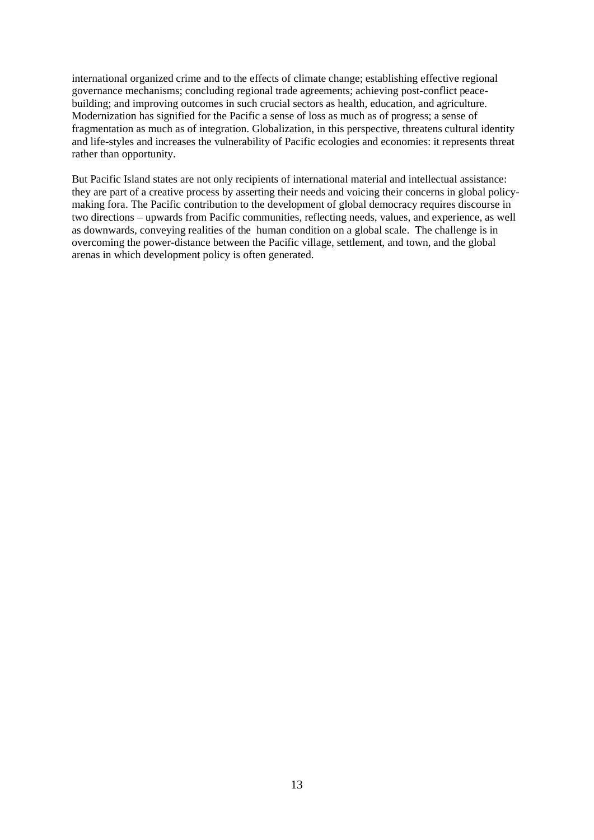international organized crime and to the effects of climate change; establishing effective regional governance mechanisms; concluding regional trade agreements; achieving post-conflict peacebuilding; and improving outcomes in such crucial sectors as health, education, and agriculture. Modernization has signified for the Pacific a sense of loss as much as of progress; a sense of fragmentation as much as of integration. Globalization, in this perspective, threatens cultural identity and life-styles and increases the vulnerability of Pacific ecologies and economies: it represents threat rather than opportunity.

But Pacific Island states are not only recipients of international material and intellectual assistance: they are part of a creative process by asserting their needs and voicing their concerns in global policymaking fora. The Pacific contribution to the development of global democracy requires discourse in two directions – upwards from Pacific communities, reflecting needs, values, and experience, as well as downwards, conveying realities of the human condition on a global scale. The challenge is in overcoming the power-distance between the Pacific village, settlement, and town, and the global arenas in which development policy is often generated.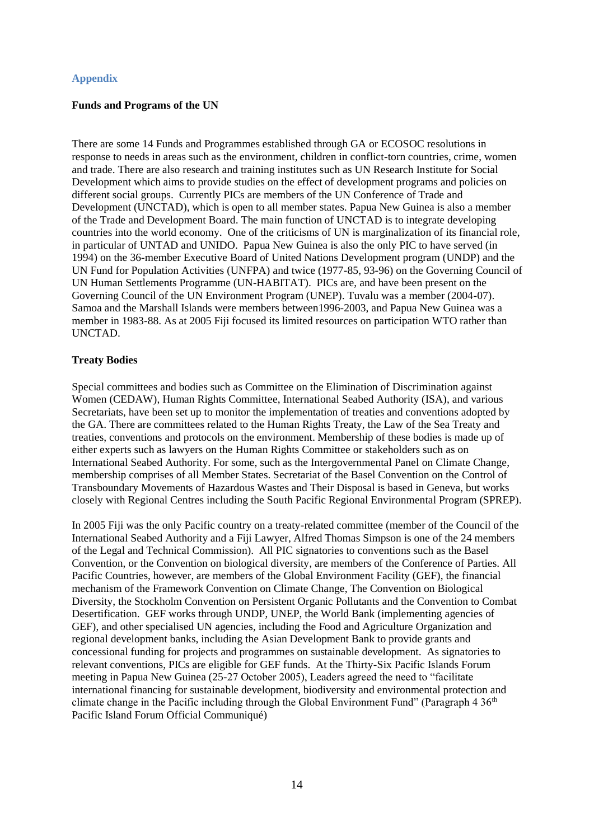# **Appendix**

# **Funds and Programs of the UN**

There are some 14 Funds and Programmes established through GA or ECOSOC resolutions in response to needs in areas such as the environment, children in conflict-torn countries, crime, women and trade. There are also research and training institutes such as UN Research Institute for Social Development which aims to provide studies on the effect of development programs and policies on different social groups. Currently PICs are members of the UN Conference of Trade and Development (UNCTAD), which is open to all member states. Papua New Guinea is also a member of the Trade and Development Board. The main function of UNCTAD is to integrate developing countries into the world economy. One of the criticisms of UN is marginalization of its financial role, in particular of UNTAD and UNIDO. Papua New Guinea is also the only PIC to have served (in 1994) on the 36-member Executive Board of United Nations Development program (UNDP) and the UN Fund for Population Activities (UNFPA) and twice (1977-85, 93-96) on the Governing Council of UN Human Settlements Programme (UN-HABITAT). PICs are, and have been present on the Governing Council of the UN Environment Program (UNEP). Tuvalu was a member (2004-07). Samoa and the Marshall Islands were members between1996-2003, and Papua New Guinea was a member in 1983-88. As at 2005 Fiji focused its limited resources on participation WTO rather than UNCTAD.

# **Treaty Bodies**

Special committees and bodies such as Committee on the Elimination of Discrimination against Women (CEDAW), Human Rights Committee, International Seabed Authority (ISA), and various Secretariats, have been set up to monitor the implementation of treaties and conventions adopted by the GA. There are committees related to the Human Rights Treaty, the Law of the Sea Treaty and treaties, conventions and protocols on the environment. Membership of these bodies is made up of either experts such as lawyers on the Human Rights Committee or stakeholders such as on International Seabed Authority. For some, such as the Intergovernmental Panel on Climate Change, membership comprises of all Member States. Secretariat of the Basel Convention on the Control of Transboundary Movements of Hazardous Wastes and Their Disposal is based in Geneva, but works closely with Regional Centres including the South Pacific Regional Environmental Program (SPREP).

In 2005 Fiji was the only Pacific country on a treaty-related committee (member of the Council of the International Seabed Authority and a Fiji Lawyer, Alfred Thomas Simpson is one of the 24 members of the Legal and Technical Commission). All PIC signatories to conventions such as the Basel Convention, or the Convention on biological diversity, are members of the Conference of Parties. All Pacific Countries, however, are members of the Global Environment Facility (GEF), the financial mechanism of the Framework Convention on Climate Change, The Convention on Biological Diversity, the Stockholm Convention on Persistent Organic Pollutants and the Convention to Combat Desertification. GEF works through UNDP, UNEP, the World Bank (implementing agencies of GEF), and other specialised UN agencies, including the Food and Agriculture Organization and regional development banks, including the Asian Development Bank to provide grants and concessional funding for projects and programmes on sustainable development. As signatories to relevant conventions, PICs are eligible for GEF funds. At the Thirty-Six Pacific Islands Forum meeting in Papua New Guinea (25-27 October 2005), Leaders agreed the need to "facilitate international financing for sustainable development, biodiversity and environmental protection and climate change in the Pacific including through the Global Environment Fund" (Paragraph  $4\,36<sup>th</sup>$ Pacific Island Forum Official Communiqué)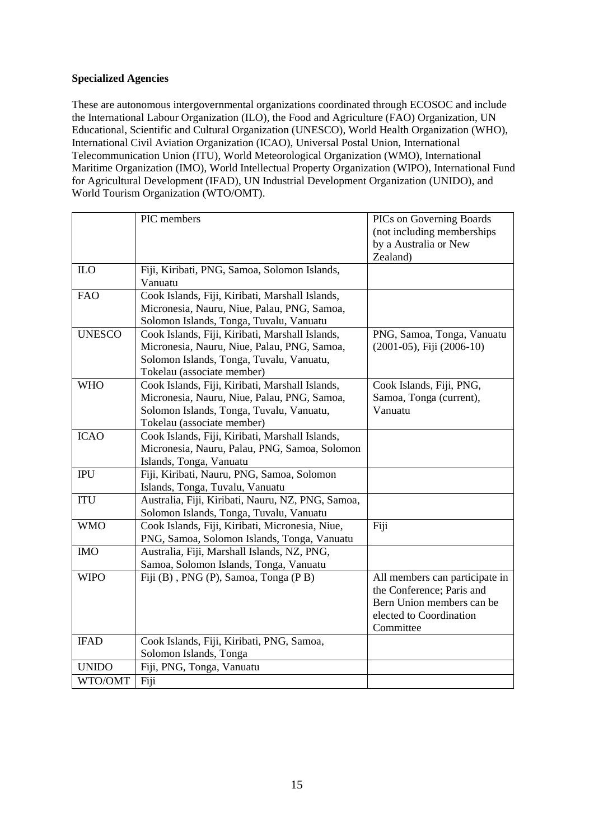# **Specialized Agencies**

These are autonomous intergovernmental organizations coordinated through ECOSOC and include the International Labour Organization (ILO), the Food and Agriculture (FAO) Organization, UN Educational, Scientific and Cultural Organization (UNESCO), World Health Organization (WHO), International Civil Aviation Organization (ICAO), Universal Postal Union, International Telecommunication Union (ITU), World Meteorological Organization (WMO), International Maritime Organization (IMO), World Intellectual Property Organization (WIPO), International Fund for Agricultural Development (IFAD), UN Industrial Development Organization (UNIDO), and World Tourism Organization (WTO/OMT).

|               | PIC members                                       | <b>PICs on Governing Boards</b> |
|---------------|---------------------------------------------------|---------------------------------|
|               |                                                   | (not including memberships      |
|               |                                                   | by a Australia or New           |
|               |                                                   | Zealand)                        |
| <b>ILO</b>    | Fiji, Kiribati, PNG, Samoa, Solomon Islands,      |                                 |
|               | Vanuatu                                           |                                 |
| <b>FAO</b>    | Cook Islands, Fiji, Kiribati, Marshall Islands,   |                                 |
|               | Micronesia, Nauru, Niue, Palau, PNG, Samoa,       |                                 |
|               | Solomon Islands, Tonga, Tuvalu, Vanuatu           |                                 |
| <b>UNESCO</b> | Cook Islands, Fiji, Kiribati, Marshall Islands,   | PNG, Samoa, Tonga, Vanuatu      |
|               | Micronesia, Nauru, Niue, Palau, PNG, Samoa,       | (2001-05), Fiji (2006-10)       |
|               | Solomon Islands, Tonga, Tuvalu, Vanuatu,          |                                 |
|               | Tokelau (associate member)                        |                                 |
| <b>WHO</b>    | Cook Islands, Fiji, Kiribati, Marshall Islands,   | Cook Islands, Fiji, PNG,        |
|               | Micronesia, Nauru, Niue, Palau, PNG, Samoa,       | Samoa, Tonga (current),         |
|               | Solomon Islands, Tonga, Tuvalu, Vanuatu,          | Vanuatu                         |
|               | Tokelau (associate member)                        |                                 |
| <b>ICAO</b>   | Cook Islands, Fiji, Kiribati, Marshall Islands,   |                                 |
|               | Micronesia, Nauru, Palau, PNG, Samoa, Solomon     |                                 |
|               | Islands, Tonga, Vanuatu                           |                                 |
| <b>IPU</b>    | Fiji, Kiribati, Nauru, PNG, Samoa, Solomon        |                                 |
|               | Islands, Tonga, Tuvalu, Vanuatu                   |                                 |
| <b>ITU</b>    | Australia, Fiji, Kiribati, Nauru, NZ, PNG, Samoa, |                                 |
|               | Solomon Islands, Tonga, Tuvalu, Vanuatu           |                                 |
| <b>WMO</b>    | Cook Islands, Fiji, Kiribati, Micronesia, Niue,   | Fiji                            |
|               | PNG, Samoa, Solomon Islands, Tonga, Vanuatu       |                                 |
| <b>IMO</b>    | Australia, Fiji, Marshall Islands, NZ, PNG,       |                                 |
|               | Samoa, Solomon Islands, Tonga, Vanuatu            |                                 |
| <b>WIPO</b>   | Fiji (B), PNG (P), Samoa, Tonga (PB)              | All members can participate in  |
|               |                                                   | the Conference; Paris and       |
|               |                                                   | Bern Union members can be       |
|               |                                                   | elected to Coordination         |
|               |                                                   | Committee                       |
| <b>IFAD</b>   | Cook Islands, Fiji, Kiribati, PNG, Samoa,         |                                 |
|               | Solomon Islands, Tonga                            |                                 |
| <b>UNIDO</b>  | Fiji, PNG, Tonga, Vanuatu                         |                                 |
| WTO/OMT       | Fiji                                              |                                 |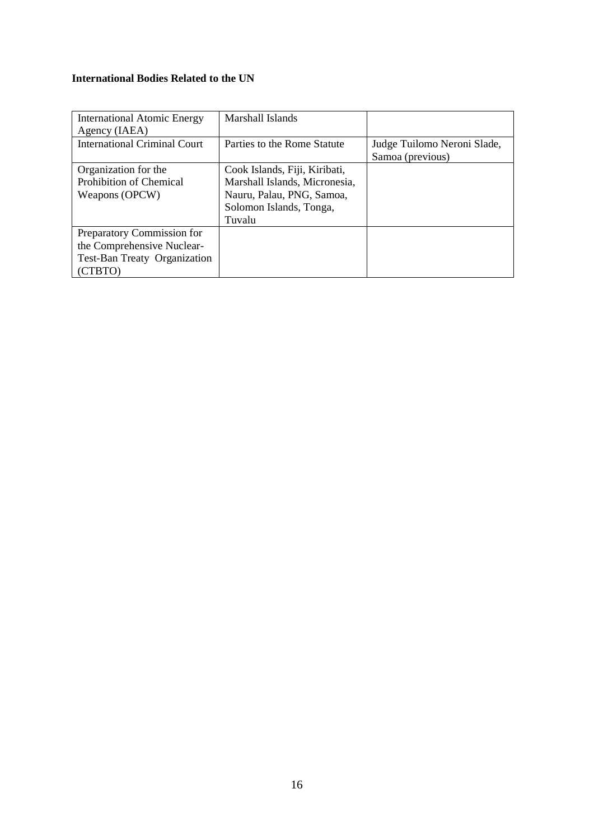# **International Bodies Related to the UN**

| <b>International Atomic Energy</b><br>Agency (IAEA)                                                 | Marshall Islands                                                                                                                 |                                                 |
|-----------------------------------------------------------------------------------------------------|----------------------------------------------------------------------------------------------------------------------------------|-------------------------------------------------|
| <b>International Criminal Court</b>                                                                 | Parties to the Rome Statute                                                                                                      | Judge Tuilomo Neroni Slade,<br>Samoa (previous) |
| Organization for the<br><b>Prohibition of Chemical</b><br>Weapons (OPCW)                            | Cook Islands, Fiji, Kiribati,<br>Marshall Islands, Micronesia,<br>Nauru, Palau, PNG, Samoa,<br>Solomon Islands, Tonga,<br>Tuvalu |                                                 |
| Preparatory Commission for<br>the Comprehensive Nuclear-<br>Test-Ban Treaty Organization<br>(CTBTO) |                                                                                                                                  |                                                 |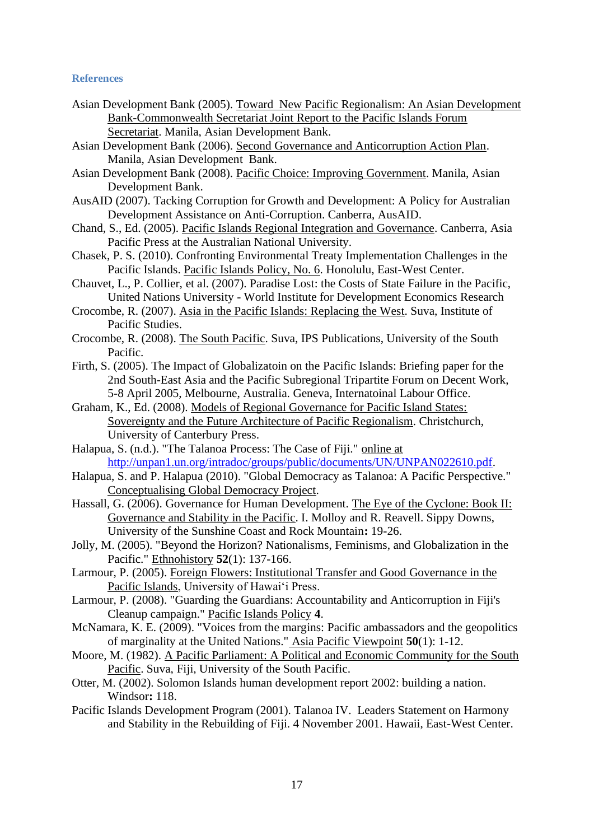# **References**

- Asian Development Bank (2005). Toward New Pacific Regionalism: An Asian Development Bank-Commonwealth Secretariat Joint Report to the Pacific Islands Forum Secretariat. Manila, Asian Development Bank.
- Asian Development Bank (2006). Second Governance and Anticorruption Action Plan. Manila, Asian Development Bank.
- Asian Development Bank (2008). Pacific Choice: Improving Government. Manila, Asian Development Bank.
- AusAID (2007). Tacking Corruption for Growth and Development: A Policy for Australian Development Assistance on Anti-Corruption. Canberra, AusAID.
- <span id="page-16-8"></span>Chand, S., Ed. (2005). Pacific Islands Regional Integration and Governance. Canberra, Asia Pacific Press at the Australian National University.
- <span id="page-16-11"></span>Chasek, P. S. (2010). Confronting Environmental Treaty Implementation Challenges in the Pacific Islands. Pacific Islands Policy, No. 6. Honolulu, East-West Center.
- <span id="page-16-6"></span>Chauvet, L., P. Collier, et al. (2007). Paradise Lost: the Costs of State Failure in the Pacific, United Nations University - World Institute for Development Economics Research
- Crocombe, R. (2007). Asia in the Pacific Islands: Replacing the West. Suva, Institute of Pacific Studies.
- <span id="page-16-0"></span>Crocombe, R. (2008). The South Pacific. Suva, IPS Publications, University of the South Pacific.
- Firth, S. (2005). The Impact of Globalizatoin on the Pacific Islands: Briefing paper for the 2nd South-East Asia and the Pacific Subregional Tripartite Forum on Decent Work, 5-8 April 2005, Melbourne, Australia. Geneva, Internatoinal Labour Office.
- <span id="page-16-7"></span>Graham, K., Ed. (2008). Models of Regional Governance for Pacific Island States: Sovereignty and the Future Architecture of Pacific Regionalism. Christchurch, University of Canterbury Press.
- <span id="page-16-5"></span>Halapua, S. (n.d.). "The Talanoa Process: The Case of Fiji." online at [http://unpan1.un.org/intradoc/groups/public/documents/UN/UNPAN022610.pdf.](http://unpan1.un.org/intradoc/groups/public/documents/UN/UNPAN022610.pdf)
- <span id="page-16-4"></span>Halapua, S. and P. Halapua (2010). "Global Democracy as Talanoa: A Pacific Perspective." Conceptualising Global Democracy Project.
- Hassall, G. (2006). Governance for Human Development. The Eye of the Cyclone: Book II: Governance and Stability in the Pacific. I. Molloy and R. Reavell. Sippy Downs, University of the Sunshine Coast and Rock Mountain**:** 19-26.
- <span id="page-16-1"></span>Jolly, M. (2005). "Beyond the Horizon? Nationalisms, Feminisms, and Globalization in the Pacific." Ethnohistory **52**(1): 137-166.
- <span id="page-16-2"></span>Larmour, P. (2005). Foreign Flowers: Institutional Transfer and Good Governance in the Pacific Islands, University of Hawai'i Press.
- Larmour, P. (2008). "Guarding the Guardians: Accountability and Anticorruption in Fiji's Cleanup campaign." Pacific Islands Policy **4**.
- <span id="page-16-10"></span>McNamara, K. E. (2009). "Voices from the margins: Pacific ambassadors and the geopolitics of marginality at the United Nations." Asia Pacific Viewpoint **50**(1): 1-12.
- <span id="page-16-9"></span>Moore, M. (1982). A Pacific Parliament: A Political and Economic Community for the South Pacific. Suva, Fiji, University of the South Pacific.
- Otter, M. (2002). Solomon Islands human development report 2002: building a nation. Windsor**:** 118.
- <span id="page-16-3"></span>Pacific Islands Development Program (2001). Talanoa IV. Leaders Statement on Harmony and Stability in the Rebuilding of Fiji. 4 November 2001. Hawaii, East-West Center.